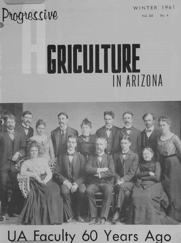## Progressive

WINTER 1961

Vol. XII No. 4

# GRICULTURE IN ARIZONA



## UA Faculty 60 Years Ago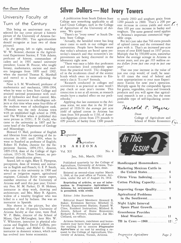Our Cover Picture

#### University Faculty at Turn of the Century

This being an anniversary year, we selected for our cover picture a historic picture of the University of Arizona faculty of 1900-1901. You agriculturalists should recognize at least two of those pictured.

In the group, left to right, standing: W. W. Skinner, chemist in the Agricultural Experiment Station; F. Yale Adams, professor of history, commandant of cadets and in 1901 named university president; Louise H. Foucar, who taught<br>botany, mathematics, ancient and modern languages from 1899 until 1902, when she married Thomas K. Marshall and moved to a home adjoining the campus.

Next is S. M. Woodward, professor of mathematics and mechanics, 1896-1904, when he went to Iowa State College and attained national prominence with studies of hydraulics and flood control; Mrs. M. Guild, instructor in subcollegiate subjects at this time when some four -fifths of the students were of subcollegiate rank. ( Phoenix was the only Arizona town with an established high school in 1900, said The Wildcat when it published this same picture in 1928); F. N. Guild, who came to the university in 1897 and became head of the Department of Geology and Mineralogy;

Howard O. Hall, professor of English and librarian from the opening of the institution in 1891 until 1904, when he went to Stanford as professor of English; Robert H. Forbes, chemist for the Experiment Station, 1894-1911, director, IN 1899 -1918, dean of the College of Agriculture, 1915-18; Nora Towner, no professional identification given;

Seated, left to right, Mary E. Plympton,<br>econtross deep of women and instruce Published quarterly by the College of preceptress, dean of women and instructor in English and French; G. E. P. Smith, who came to this university in 1900 and served as irrigation expert, agricultural engineer, Colorado River water expert, <sup>1, 1949</sup>, at the post office at Fucson, ATF member emeritus of the University of<br>Arizona staff until this past year: Univer-<br>**Reprinting of articles, or use of infor-**Arizona staff until this past year; University Pres. M. M. Parker; D. H. Holmes, mation in Progressive Agriculture in instructor in shop work, drawing and architecture; and Mrs. Mary B. Aguirre, widow of a wealthy freighter who was killed in a raid by Indians. She was an instructor in Spanish.

members of the 18-person University of Arizona faculty at that time, were Prof. Jensen, School of Home Economics;<br>W. B. Blake director of the School of Richard K. Frevert, chairman; Joe Mc-W. P. Blake, director of the School of Mines; Opal McGaughey, later Mrs. W. V. Whitmore, instructor in physical education and English; David Griffiths, professor of botany, and Mabel G. Hoover, the mailing list to receive **Progressive**<br>fessor of botany, and Mabel G. Hoover, **Agriculture** at no cost by sending a reinstructor in domestic science, which now has evolved into home economics.

### Silver Dollars - Not Ivory Towers

A publication from South Dakota State College says something applicable to all Land Grant Colleges, such as the College of Agriculture of the University of Arizona. We quote:

"There's no "ivory tower" at South Dakota State College.

"Actually, the heralded tower has long since come to earth in our colleges and universities. People have become aware that today's advances are based upon yesterday's research and that tomorrow's improvements are being discovered in the laboratory right now.

"There was once a fable that professors and recearchers lived completely apart from the practical world. This disappeared in the mushroom cloud of the atomic bomb which owes its existence to Einstein's classic ' $E = mc^2$ ' formula.

'Research conducted in colleges and universities is as practical as next week's pay check or next year's income. This connection is not at all remote, as research results have a marked effect on our pocketbooks."

Applying that last statement to the Arizona scene, we note that in the 30 year period of 1926-56 the *average* per acre yield of upland cotton in Arizona has risen from 364 pounds to 1130, of American-Egyptian cotton from 275 pounds to 699 pounds, of barley from 1300 pounds to nearly 2900 and sorghum grain from 1200 pounds to 2800. That's a 200 per cent increase in cotton yields and more  $f \nmid \xi$ than 100 per cent increase in barley and sorghum. The same general trend applies to Arizona's important commercial vegetable crops.

But let's just take that 766 extra pounds of upland cotton and the cottonseed that goes with it. That's an increased per -acre return of over \$300 based on 1957 prices. Multiply that by 350,000 acres, somewhat below the average acreage in Arizona in recent years, and you get 105 million extra dollars from just one crop in just one year!

That one year increase in the value of just one crop would, of itself, be nearly 60 times the total of federal and state appropriations to your state Experiment Station for next year's operation. Multiply again by the comparable figures for grains, vegetables, citrus and livestock products and you will agree that agricultural research is not a cost, but the most profitable type of self -liquidating investment.

Harold E. Myers

Dean College of Agriculture and School of Home Economics  $\bigcap_i$ 



 ${\bf A}_{griculture}$ ARIZONA

Vol. XII No. 4

Jan., Feb., March, 1961

Agriculture, University of Arizona, Tuc-son, Arizona, Harold E. Myers, dean.

Entered as second -class matter March 1, 1949, at the post office at Tucson, Ari-

mation in Progressive Agriculture in is permitted, with credit.

Editor: John Burnham

Not shown in the picture, but also Vavich, Experiment Station; Russell W. Editorial Board Members: Howard R. Baker, Extension Service; Mitchell G. Cline, Resident Instruction; Mildred R. Jensen, School of Home Economics; Clelland, ex-officio.

> Arizona farmers, ranchmen and homemakers may have their names placed on quest to the College of Agriculture, Uni-<br>versity of Arizona, Tucson, Arizona.



| Handicapped Homemakers 3           |               |
|------------------------------------|---------------|
| <b>Marketing Mexican Cattle in</b> | $\frac{4}{3}$ |
|                                    |               |
| <b>Cotton Picking Capacity</b>     | 6             |
| <b>Improving Grape Quality</b>     | - 7           |
| <b>Agricultural Problems</b>       | - 8           |
| <b>Night Light Interval</b>        |               |
| <b>Greenhouse Provides</b>         |               |
|                                    |               |
|                                    |               |

Progressive Agriculture Page 2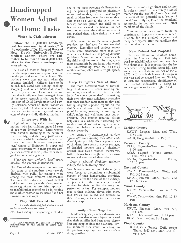## Handicapped **O**To Home Tasks

#### Victor A. Christopherson

"More than 10,000,000 handicap- ped homemakers in America," is the estimate of Dr. Howard Rusk of New York University -Bellevue Medical Center. There are estimated to be more than 30,000 arth-<br>ritics in the Tucson metropolitan<br>must accomplish, by and large, with words area alone.

A disabled mother frequently means that the wage earner must spend less time on the job and more time at home. The mother's work does not stop when she becomes disabled - children have to be bathed, fed, cared for; ironing, cooking, shopping and other household chores need daily attention. How does she and the other family members manage? Some of the recent research carried out by the Division of Child Development and Family Relations, School of Home Economics, has attempted to find answers to this question and to increase our general knowledge of the physically disabled mother.

#### Interviews With 84

Eighty-four physically handicapped mothers who had children under 12 years of age were interviewed. These women were classified according to the nature of the disability, and the body parts or extremities in which the disability occurred. It was then possible to compare the subjects' degree of limitation in upper and or children, three years or age or younger,<br>lower extremities with their general com- of disabled mothers than of physically lower extremities with their general competency as well as their problems with regard to homemaking tasks.

Were the most seriously handicapped mothers the poorest homemakers?

No. One of the unexpected findings was that some of the mothers most severely disabled with polio, for example, were among the most effective homemakers. The way the individual viewed herself and her relationships with others, seemed more significant. A promising approach to rehabilitation seemed to be in helping the disabled woman to see herself and her situation in new ways.

#### They Still Carried On

Do seriously handicapped women need to leave child care to others?

No. Even though transporting a child is

Women Adjust small children from one place to another.<br>
One mother carried the baby in her<br>
blouse; another placed the child on a one of the most awesome challenges facing the partially paralyzed or physically sub -normal mother, there are ways to get One mother carried the baby in her blanket and carried the blanket in her teeth; others eased the children onto carts and pushed them while sitting in wheel chairs.

> What seems to be the most difficult problems in child care for the disabled mother? Discipline and outdoor supervision were mentioned more than any other areas of child care as posing difficult problems. Since the mother cannot catch the child until he's ready to be caught, she and understanding what the normal mother accomplishes with strength, speed, and energy.

#### Keep Youngsters Near at Hand

The more successful ways of controlling children out of doors, were by encouraging the children to return periodically "to check on mother"; by making their own play areas sufficiently attractive that other children came there to play, and having neighbors phone reports on the child's whereabouts. There are no foolproof formulae, however, for insuring the child's safety and well -being once out of eyesight. One mother reported sitting helplessly in a wheel chair watching her toddler sink almost out of sight in some deep mud before he was rescued by a chance passer -by.

Do children of handicapped mothers "grow up" more quickly than other children? Quite possibly. Greater percentages of children, three years of age or younger, normal mothers washed themselves, bathed themselves, straightened their own rooms, and entertained themselves.

Does a physical disability seriously modify the homemaking role?

Yes. Ninety-three per cent of the subjects were forced to discontinue a substantial portion of their homemaking activities. However, after the onset of the handicap, 30 per cent of the mothers performed services for their families that were not performed before. For example, mothers read to their children, played with them, told stories, and talked and listened to them in a way not characteristic prior to the handicap.

#### Family Closer Together

While not typical, a rather dramatic occurrence was that seven subjects indicated KOY, Phoenix—Sun., 8:45 a.m. that their families had been more closely knit and happier since the disability. Several indicated they would not change to the pre-handicap days even were such a thing possible.

One of the most significant and successful roles assumed by the severely disabled mother was the "enabling" role. She made the most of her potential as a "setter of mood," and fully exploited the emotional reciprocity in her relations with other members of the family.

Community activities were found to constitute an important source of rehabilitation for the disabled woman, and many participated after the handicap that had not done so before.

#### New Federal Aid Proposed

The some 10 million disabled homemakers in America today can look forward to rehabilitation training never before obtainable. It is expected that the Independent Living Rehabilitation Bill, also known as the Rehabilitation Act of 1959, S.772, will pass both houses of Congress this year and be enacted into law. Tacitly, at least, the occupational significance of the disabled homemaker is being acknowledged as well as her right to aid.



#### Cochise County

- KAWT, Douglas-Mon. and Wed., 6:55 a.m.
- KAPR, Douglas-Sat., 12:15 p.m.

#### Coconino County

- KCLS, Flagstaff-Tues. and Thurs., 8:20 a.m.
- KCLS, Flagstaff (Home Agent)-Thurs., 9:45 a.m.
- KVNA, Flagstaff-Mon. thru Friday, 12:15 p.m.

#### Yavapai County

KYCA, Prescott-Mon., Wed., and Fri., 5:55 p.m. KNOT, Prescott-Mon., Wed., and Fri., 6:35 a.m.

#### Yuma County

KYUM, Yuma-Mon. thru Fri., 6:35 a.m.

KVOY, Yuma-Mon. thru Fri., 12:35 p.m.

#### Maricopa County

- KRUX, Phoenix Mon. thru Sat., 5:55 a.m.
- KTAR, Phoenix-Thurs., 12:45 p.m.
- 

#### Pinal County

KPIN, Casa Grande-Daily except Thurs., 6:40 a.m., Mon. and Fri. 9:35 a.m.

Page 3 Winter 1961

Dr. Christopherson is Professor of Family Relationships in the School of Home Eco- nomics.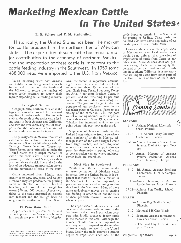## Marketing Mexican Cattle In The United States $\epsilon$

#### R. E. Seltzer and T. M. Stubblefield

Historically, the United States has been the market for cattle produced in the northern tier of Mexican states. The exportation of such cattle has made a major contribution to the economy of northern Mexico, and the importation of these cattle is important to the cattle feeding industry in the Southwest. In 1959 some 488,000 head were imported to the U.S. from Mexico.

To an increasing extent both Arizona and California are being forced to reach further and further into the South and the Midwest to secure the number of feeder cattle necessary to supply their rapidly expanding cattle feeding industry.

#### Is Logical Source

Geographically, northern Mexico is the logical area to which to look for increased supplies of feeder cattle. It lies immediately to the south of the major cattle feeding areas in both Arizona and California, and with the ever increasing cost of transportation the locational advantage of northern Mexico cannot be ignored.

The primary area in Mexico from which cattle move to the United States includes the states of Sonora, Chihuahua, Coahuila, Durango, Nueva Leon, and Tamaulipas. Three factors serve primarily to make the United States the principal market for cattle from these states. These are:  $(1)$ proximity to the United States, (2) their position above the tick line, and (3) the lack of an adequate transportation system for the movement of cattle to the south.

Cattle imported from Mexico vary greatly as to type, age, breed, and weight. However, they are predominately yearling steers of Hereford or mixed Hereford breeding, and most of them weigh between 350 and 500 pounds. About twothirds of the cattle imported go directly into feedlots and the rest go back on ranges in the southwestern United States.

#### El Paso Main Route

Approximately 40 per cent of the total cattle imported from Mexico are brought in through the port of El Paso; Nogales,

Ariz., the second in importance, accounting for about 14 per cent. Calexico, Calif. accounts for about 13 per cent of the total; Eagle Pass, Texas, 8 per cent; Douglas, Ariz., 7 per cent; Presidio, Texas, 3 per cent, and the remaining 15 per cent comes in through other ports along the border. The greatest change in the importance of any particular port -of -entry has taken place at Calexico. Prior to the closing of the border in 1946, this port was of minor significance in the importation of these cattle. Since 1955, volume at Calexico has increased rapidly to the point where this port now ranks third.

Shipments of Mexican cattle to the United States originate from a relatively small number of origins in Mexico. Although many of the cattle shipped come from large ranches, and each shipment represents a single ownership, it also appears that these major shipping points act as concentration centers where multipleowner loads are assembled.

#### Most Stay in Southwest

While it is difficult to determine the ultimate destination of Mexican cattle imported into the United States, it is apparent that most of these cattle remain in the Southwest. Of the total imported, 85 per cent were indicated as going to destinations in the Southwest. Many of these cattle undoubtedly moved on to grazing and feeding in other states, but the bulk of them probably remained in the area where imported.

The importation of Mexican cattle is of concern to the range cattle industry in the Southwest in that these importations compete with locally produced feeder cattle in the market in this area. Although the number of Mexican cattle imported is relatively small compared to the number of feeder cattle produced in the United States, locally the trade assumes a greater degree of importance since most of the cattle imported remain in the Southwest for grazing or feeding. These cattle undoubtedly do have some depressing effect on the price of local feeder cattle.

However, the effect of the importation of Mexican cattle on local feeder prices would be no different than the effect of importation of cattle from Texas or any other state. Since Arizona does not produce enough feeder cattle to supply the demand of our own feedlots and of feedlots in southern California, it is necessary that we import cattle from other parts of the United States or from northern Mexico.



#### **JANUARY**

- 1- 7-Arizona National Livestock Show. Phoenix
- 11-12-10th Annual Dairy Industry Conference. Tucson
- 16-20- Annual Extension Service Conference. U of A Campus, Tucson
	- 25-Annual Meeting of Arizona Poultry Federation. Arizona State University. Tempe

#### **FEBRUARY**

- 8- 9-4th Annual Arizona Fertilizer Conference. U of A Campus, Tucson
- 11-Annual Meeting of Arizona Cattle Feeders Assoc. Phoenix
- 27-28-Arizona Egg Quality School. Phoenix

#### MARCH

- 1-Arizona Egg Quality School. Phoenix
- 5-12-National 4-H Club Week
- 8-12-Southern Arizona International Livestock Show. Tucson
- 18-FFA Field Day. U of A Campus, Tucson

I

 $\sqrt{2}$ 

Dr. Seltzer is head of the Agricultural Eco- nomics Department and Dr. Stubblefield is an Associate Agricultural Economist.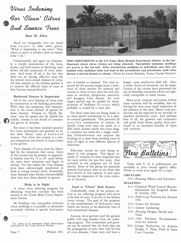### Virus Indexing van die Vol Gor `Clean' Citrus. Bud Source Trees

Ross M. Allen

Much too frequently cries are heard from owners of older citrus groves, "What is happening to my trees? They refuse to grow or produce fruit no matter what I do."

Unfortunately, and again too frequently, a simple examination of the roots, trunks, and bud-unions of declining trees shows tell-tale symptoms of virus infection. And worst of all is the fact that there are no lasting, effective cures for the several virus -caused diseases of citrus. All that remains to the luckless grower is to remove the affected trees as soon as they become non -productive.

#### Budwood Source is Important

All of the virus diseases of citrus may be transmitted in the budding procedure. mination of Stubborn D is ease which With only one exception, bud transmission is the usual method of spread for these diseases. Tristeza or "Quick Decline" may be spread also by aphids but luckily, tristeza is not found in commercial groves in Arizona.

For years it has been standard practice for citrus nurserymen and growers to select their "better" trees as bud wood sources. Too often this custom is a serious entrapment and results in major losses in the groves.

Virus diseases of citrus must be identified by the symptoms they cause. Some of the viruses may be present in apparently healthy trees for 15 or 20 years before the trees show symptoms and begin to decline. For this reason the virus diseases have been unknowingly transferred in buds to young nursery stock. Eventually, these diseased trees decline uncontrollably after they have been planted in groves.

#### Help is in Sight

A citrus virus indexing program for obtaining virus -free varieties has been started at the Yuma Mesa Citrus Experiment Station.

By budding very susceptible indicator citrus seedlings it is possible to determine accurately whether a specific bud-source

Dr. Allen is an Associate Plant Pathologist stationed at the Yuma Branch Station.

Page 5 Winter 1961



THIS GREENHOUSE at the UA Yuma Mesa Branch Experiment Station, is the battleground where citrus viruses are being attacked. Susceptible indicator seedlings are grown in the hot -bed. After transferring seedlings to individual cans they are budded with candidate buds and kept in the screenhouse and greenhouse until virus disease is proved present or absent. (Photo by Lewis Robison, Yuma County Farmer)

tree is healthy or diseased. The time required for the process ranges from a minimum of three months for psorosis and tristeza to three or four years for such diseases as cachexia, xyloporosis, exocortis, and Rangpur Lime disease. An even longer period may be needed for deterprobably is caused by a virus also.

The short term tests are being made in an insect-proof screenhouse or in a plas-<br>tic-covered greenhouse. This prevents all possible introduction of tristeza by aphids. Long term tests are made in a field index nursery nearly two acres large. A complete test series for a single candidate budwood-source tree requires the budding of at least three seedling trees of each of eight or nine different species of indicators.

Fifty -nine entries are now being indexed in this program. This figure includes 27 varieties of citrus imported into the state within the past five years. Also included in the program are 32 local entries. Some of this group are presently popular bud-source trees or are those that have served in this capacity in past years during the expansion of the citrus industry in Arizona.

#### Goal is "Clean" Bud Source

Undoubtedly, some of the present entries in the indexing program will prove to be free of most, if not all, of the known citrus viruses. The goal of the program is the establishment of bud-source trees which are known to be absolutely free of bud -transmitted diseases.

Arizona citrus growers and the general public will reap benefits from the indexing program. The nurserymen and growers can be assured that the buds they use for propagation of new trees will be free of virus diseases. Clean trees will have a

longer, more productive field life. Also, a wider choice of rootstocks can be made. Certain of the viruses have prevented the use of desirable rootstocks which are especially susceptible to these viruses.

More scion varieties and strains within these varieties will be available, thus allowing for even more rapid expansion of the industry in the state. Better crop production can be expected at no increase in standard production costs. And perhaps best of all, the growers and consumers will profit from better quality fruit produced in an increased number of types and varieties.



These new U of A publications are available at your county agent's office. Phone or write your agent for a copy.

#### **CIRCULARS**

216–Pressing Fabrics and Garments BULLETINS

- A-1--Chemical Weed Control Recommendations for Irrigated Areas of Arizona 1961
- A-4-Field Crop Varieties for Arizona 1961
- A-6-Lawns for Arizona
- A-7-Indoor Gardening
- A-8--Pruning Hedges, Shrubs and Trees
- A-9-1961 Fertilizer Recommendations for Arizona
- 302- Forage Production on Arizona Ranges V. Pima, Pinal & Santa Cruz Counties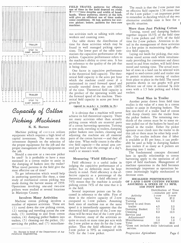

## Capacity of Cotton It is obvious the icking Machines are many ac

#### K. K. Barnes

Machine picking of cotton utilizes equipment which requires a high level of capital investment. The return on this investment depends on the selection of the proper equipment for the job and the proper management of that equipment on the job.

Should a one-row or a two-row picker be used? Is it profitable to have a man stationed in a cotton trailer to assist in the dumping of baskets into the trailer? What travel patterns in the field give the most effective use of time?

To get information which would help in answering questions like these, a time study of mechanical cotton picking was made during the harvest season of 1959. Operations involving one-and two-row pickers were studied at several locations in Maricopa County.

Involves Many Activities Machine cotton picking involves <sup>a</sup> number of separate activities. These are (1) travel down the row picking cotton, (2 ) turning and traveling across the row ends, (3) traveling to and from cotton trailers, (4) dumping picker baskets into trailers,  $(5)$  cleaning out the picker,  $(6)$ servicing the picker, and (7) miscellaneFIELD TRAVEL patterns for efficient use of time in the field depend on yield, row- lengths and width of headwill give an efficient use of time under some conditions. At top, pattern for one-<br>row picker; below, pattern for two-row machine.

workers and counting rows.

 $T$  $T$  $T$  $T$  $T$  $p$  pickers. Capacitive performance refers to imize tr <sup>1</sup> <sup>1</sup> <sup>1</sup> <sup>I</sup> fttf no reference to the quality of the job that Our table shows the distribution of time for these activities which may be found in well managed picking operamarizes the capacitive performance of the the machine's ability to cover area. It has is being done.

> <sup>7</sup> the product of the operating width and trailers. One factor in capacitive performance is the theoretical field capacity. The theoretical field capacity is the acres per hour which the machine could cover if it maintained its rated forward speed and actually traveled down the row  $100\%$ of the time. Theoretical field capacity is the forward speed of the machine. Theoretical field capacity in acres per hour is given by

#### (speed in m.p.h.) x (width in ft.) 8.25

It is obvious that a machine will never achieve its full theoretical capacity. There are many activities other than actually picking cotton which are essential parts of a cotton harvesting operation. Turning at row ends, traveling to trailers, dumping picker baskets into trailers, cleaning and adjusting the machine are all essential parts of the cotton harvest - and they all take time. What really counts is the effective field capacity - the actual area covered per hour over the average of a day's, week's or season's work.

#### Measuring "Field Efficiency"

Field efficiency is a useful index in judging the capacitive performance of a picker, but its definition must be kept clearly in mind. Field efficiency is the effective capacity as a percentage of the theoretical capacity. A field efficiency of  $74\%$  means that the machine is actually picking cotton  $74\%$  of the time that it is in the field.

Several important points can be discussed in reference to the table. First of these is the relative capacity of 2-row compared to 1-row pickers. Assuming both sizes of machine run at the same speed it is immediately apparent that the theoretical field capacity of the 2-row machine will be twice that of the 1 -row picker. However, many of the activities require as much or more time per acre with the 2-row picker as they do for the 1 -row picker. Thus the field efficiency of the 2-row picker is 59% as compared with 74 $\%$  for the 1-row picker.

The result is that the 2-row picker has an effective field capacity 1.58 times that of the 1-row picker - an important point to remember in deciding which of the two alternative available sizes is best for a specific situation. r

#### More than Just Picking Cotton

ous activities such as talking with other<br>together require 16.5% of the field time together require  $16.5\%$  of the field time for 1-row pickers and 19% of the field time for 2-row pickers. Attention to detail in the management of these activities is a key point in maintaining high effective field capacity.

Laying out lands for picking, that minimize travel across ends while simultaneously providing for convenient and direct travel to and from trailers, will hold down travel and turning time. The actual number of rows in a land can be selected with regard to seed -cotton yield and trailer size to permit minimum moving of trailers from place to place in the field. The travel patterns shown in our graphs will give efficient use of time in nominal  $\frac{1}{4}$  mile rows with a 1.5 bale picking and 4 -bale trailers.

#### Need Man in Trailer

Another point drawn from field time studies is the value of a man in a cotton trailer to assist in dumping baskets. The first one -third of a trailer load of cotton will dump cleanly into the trailer from the picker baskets. The remaining twothirds of the cotton must be to some  $ex$ . tent pulled out of the baskets by hand and spread in the trailer. Either the picker operator must climb into the trailer to do this job or there must be other help available. Our studies indicate that if labor is available at \$1 per hour, it can profitably be used as help in dumping baskets into trailers if as many as 4 pickers are dumping into 1 trailer.

The fundamental concepts discussed here in specific relationship to cotton harvesting apply to the operation of all types of field machines. Management of machine operations in the field becomes increasingly important as operations become increasingly highly mechanized to decrease costs.

#### IDEALIZED PERFORMANCE OF 1-AND 2-ROW COTTON PICKERS ASSUMING A SPEED OF 2.1 MPH, 1240 FOOT ROWS

|                                                     |           | Distribution of Time |  |
|-----------------------------------------------------|-----------|----------------------|--|
|                                                     |           | --minutes per acre   |  |
| Activity                                            | $1 - row$ | $2$ -row             |  |
| Picking                                             | 74.4      | 37.2                 |  |
| Turning                                             | 4.4       | 2.2                  |  |
| Travel to and from                                  |           |                      |  |
| trailer                                             | 4.5       | 2.2                  |  |
| Dumping Basket                                      | 7.7       | 7.8                  |  |
| Cleaning                                            | 8.3       | 12.5                 |  |
| Service and                                         |           |                      |  |
| Adjustment*                                         | 0.4       | 0.4                  |  |
| Miscellaneous                                       | 1.0       | 1.0                  |  |
| Total                                               | 100.7     | 63.3                 |  |
| *Does not include daily lubrication and<br>service. |           |                      |  |

Progressive Agriculture Page 6

Dr. Barnes is head of the Department of Ag- ricultural Engineering.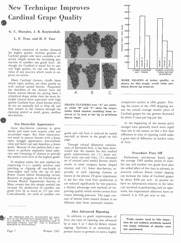## New Technique Improves Cardinal Grape Quality

G. C. Sharpies, J. R. Kuykendall,

L. F. True, and H. F. Tate

Always conscious of market demands for higher quality, Arizona growers of Cardinal grapes now have available a relatively simple means for increasing production of number one grade fruit. Although the Cardinal is noted for its natural high quality, no one can deny the value of any practice which tends to improve on nature.

Many Cardinal clusters, chiefly those which ripen earliest, are often poorly set with normal seeded berries. Frequently the shoulders of the clusters have the<br>fewest normal berries set giving them a fewest normal berries set, giving them a cylindrical shape rather than the more desirable conical form associated with high quality Cardinal fruit. Some berries which do not set normally fail to drop off, and they remain in the clusters through the ripening period as small, green, seedless shot -berries.

#### Not Desirable Appearance

Some shot -berries continue to grow slowly and some even acquire color and accumulate sugar. But these characteristics result in mature clusters with a loose, open, straggly appearance, non-uniform color and berry size and therefore, a lower grade. Because of this packers find it necessary to perform expensive hand selection and trimming of clusters to provide the market with fruit of the highest grade.

In simplest terms, the new method for improving fruit quality involves only pinching or clipping off one -fourth to three -eights inch from the tip of each flower cluster before blossoming occurs. Research in progress at the University of Arizona Branch Experiment Station, in Mesa, reveals that this simple method can increase the production of number one grade fruit by as much as 115 per cent. Coincidentally, the yield of number two





Page 7 Winter 1961



GRAPE CLUSTERS over "A" are normal, while "B" and "C" show the larger, better filled clusters resulting from removal of  $\frac{3}{8}$  inch at the tip at prebloom flower stage.

grade and cull fruit is reduced by nearly one -half, as shown in the graph on this page.

Through critical laboratory examinations of harvested fruit, it has been determined that the reasons for this marked grade improvement are (1) more uniform berry size and color, (2) increased set of normal sized seeded berries, which results in more compact, better shaped clusters, and (3) fewer shot-berries, especially in early ripening clusters, as shown in the photos. Of great importance is the fact that total fruit production is not reduced significantly by this practice, a distinct advantage over methods of improving quality which involve severe fruit cluster thinning practices. The sugar content of berries from treated clusters is no different than from untreated clusters.

#### Also Advanced Ripening

In addition to grade improvement of fruit, the time of ripening was advanced by at least 4 or 5 days by flower cluster tipping.. Earliness is an extremely important factor to growers in such a highly



MORE GRAPES of better quality, as shown by this graph, result from prebloom flower tip removal.

competitive market as table grapes. During the course of the 1960 shipping season the overall average market price of Cardinal grapes for one grower decreased by about 9 cents per lug per day.

At the beginning of the season price changes were generally much more rapid than late in the season, so that a few days difference in time of ripening could make a great deal of difference in market value of fruit.

#### Procedure Pays Off

Preliminary calculations based upon the average 1960 market prices of number one and number two grade fruit plus the added effect of five days in advance in maturity indicate flower cluster tipping can increase the value of Cardinal grapes by about \$300 per acre. At present we have no information relative to the labor cost involved in performing such an operation, but experienced observers have estimated it at \$50 per acre or less.

Trade names used in this magazine do not endorse products named nor imply criticism of similar ones not mentioned.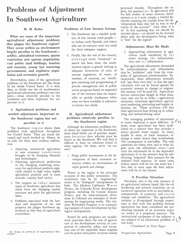### Problems of Adjustment In Southwest Agriculture

#### M. M. Kelso

What are some of the important agricultural adjustment problems that plague the Southwest region? They occur within an environment largely peculiar to the Southwestaridity, altitudinal extremes, sparse vegetation and sparser population, vast public land holdings, tourists and tourism, young but maturing governments, and explosive population and economic growth.

Nevertheless, some of the agricultural problems of the Southwest are like those of the whole United States. It is well, then, to divide any list of southwestern agricultural adjustment problems into two parts - those relatively peculiar to the southwest and those important but not peculiar to it.

#### I. Agricultural problems and needed adjustments important to the Southwest region but not peculiar to it

The Southwest region shares these problems with agriculture throughout the United States. They are much discussed and much worked on. Hence, let us only list them here without elaboration.

- 1. Adjusting commercial agriculture to new economic c o n d i t ions brought on by changing demands and technologies.
- 2. Adjusting agricultural production to the changing marketing structures for agricultural products especially related to high value, highly specialized products and to meat animals ( mainly beef cattle) .
- 3. The impacts on labor intensive types of Southwest agriculture that result from the changing market structure and price for agricultural labor.
- 4. Problems associated with the burdens and inequities of the real property tax plague Southwest agriculture as they they do agriculture everywhere.

#### Problems of Low Income Groups

- 5. The Southwest has a sizeable problem of low income rural people its Indian, early Spanish, and others who are on resource units too small for their adequate support.
- 6. Finally, like the rest of the country, although much "inventory" research has been done, the southwestern region is greatly lacking in adequate inventories of soils, of natural vegetation, of water, of weather, of minerals, etc. Intelligent planning and programming of private management and of public action programs based on expanded use of the resource base are impossible or grossly inadequate when what we have available is unknown or known but dimly.

#### II. Agricultural adjustment problems relatively peculiar to the Southwest region

Although the adjustment problems listed above are important in the Southwest, those listed below are of peculiar importance because their solution must be found in the Southwest. We will find it difficult to draw on solutions found in other regions. On these, we're "on our own."

1. Huge public investments in the development of basic economic resources within an environment of rapid growth and change.

Water in the region is the principal recipient of this public investment. The investment may be by "engineering" works or by "biological" manipulation or both. The fabulous California Water Project, the Colorado River development program, including the Central Arizona Project, and the trans-mountain diversions in Colorado are examples of development by engineering works. The Arizona Watershed Program is an outstanding example of water development by biological manipulation.

Raised by such programs are troublesome questions about the role of agriculture in the development activity in comparison to industrial, urban, and recreation uses of the expanded water supplies and the power and power revenues usually

generated thereby. Throughout the region, the question is—"Is agriculture still the bell wether of water resource development or is it now, simply, a wistful bystander enjoying the crumbs from the destander enjoying the crumbs from the developmental feast that fall its way in the course of the activity?" And, what if it is? Is this anything that we should be worried about - or should we be worried about only the development being what is "best" for the region?

#### Adjustments Must Be Made

2. Approaching adjustments in agri- culture made mandatory by (a) water mining, (b) industrializa- $\frac{1}{\pi}$  (c) urbanization.

The agricultural adjustments demanded by industrialization and urbanization may be "problems" only from the viewpoint of agricultural sentimentalists. Economically, these adjustments normally will "pay their own way" in that the agriculturalist will not be forced against his economic interest to change or migrate. His interest will be paid for. Agriculture service institutions caught in these situations may not be so lucky  $\rightarrow$  agricultural extension, vocational agriculture, agricultural marketing, processing and supply industries, etc. These activities will find their agricultural base drying up in urbanizing and industrializing areas.

The emerging problem of adjustment to water depletion is quite different. In  $(v)$ many areas agriculture has been established on a resouce base that includes a stored ground water supply. In many, maybe in most, of these instances, recharge is vastly slower than withdrawals. The consequence is inevitable. The only questions are when, how, and to what degree must the adjustment occur $-$  and must the adjustment be in the dependent agriculture or in the resource base by substituting "imported" flow resource for the depleted fund resource. In many cases, frantic search will be for the latter but I fear that in most cases the final adjustment will lie in the former.

#### A Peculiar Situation

Peculiarly, this is the only instance of an agricultural industry based, like the oil, lumbering and mineral industries, on an extractive operation with its inevitable accompaniment of economic and social change and instability. The agricultural industry is ill-equipped through experience to deal with this problem because agriculture has been considered the outstanding example of an immortal industry rooted in a perpetual resource. The institutional equipment of the industry is not adapted to an adjustment problem of this kind.

(Continued on Next Page)

Dr. Kelso is professor of Agricultural Eco-<br>nomics.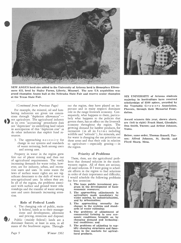



NEW ANGUS herd sire added to the University of Arizona herd is Homeplace Eileen mere 425, bred by Staley Farms, Liberty, Missouri. The new UA acquisition was grand champion Angus bull at the Nebraska State Fair and reserve senior champion at the Texas State Fair.

#### (Continued from Previous Page)

For example, the mineral, oil and lumbering industries are given tax concessions through "depletion allowances"  $-$  seque not agriculture. The agricultural industry larly wh in its own "accounting" procedures does not "depreciate" its underlying land values in anticipation of this "depletion cost" as do other industries that exploit fund resources.

3. The approaching necessity for change in our systems and standards of water rationing, both among users and among uses.

Property in water in the region grew first out of placer mining and then out of agricultural requirements. The vastly increasing demands for water today, however, are for industry, urban, and recreation users and uses. In some states the laws of surface water rights are not significant deterrants to the shift of water to non -agricultural uses. In others they are. In all of the region, the problems associated with surface and ground water relationships and the transfer of water among uses and users demands increasing attention.

#### Role of Federal Lands

4. The changing role of public, mainly federal, lands as to their management and development, allotment 4. The problems of adjustment of and pricing, retention and disposal. and pricing, retention and disposal.<br>Public (mainly federal) lands are a changing demand and technologdominant feature, at least in area, in all<br>states of the Southwest region. Through 5. states of the Southwest region. Through-

out the region, they have played an important and in many respects dominant role in the range livestock economy. Consequently, what happens to them, particularly what happens to the policies that govern them, has an effect on the livestock economy throughout the region. The growing demand for lumber products, for recreation (in all its forms including wildlife and "solitude"), for minerals, and for water is changing the use priorities on these areas and thus their role in relation to agriculture  $-$  especially grazing  $-$  in the region.

#### Priority of Problems

These, then, are the agricultural problems that demand solution in the southwestern region. All of them are serious; all need solution. If I were going to schedule efforts in the region to find solutions in order of their importance and difficulty, I would schedule the following problems for first attention:

- 1. The huge public investment pro- gram in the development of basic economic resources;
- 2. The approaching adjustments in water mining, by industrialization, and by urbanization;
- 3. The approaching necessity for change in the systems and stand-<br>ards of water rationing;<br>The problems of adjustment of<br>commercial farming to new eco-
- changing demand and technological conditions; and
- The problems of adjusting to rapidly changing structures and functions in the markets for agricultural products.

SIX UNIVERSITY of Arizona students majoring in horticulture have received scholarships of \$500 apiece, awarded by the Vegetable Growers Association, Phoenix, through their Memorial Foundation.

Award winners this year, shown above, are (Left to right) Frank Hunt, Glendale; Don Smith, Tucson; and Arthur Johnson, Yuma.

Below, same order, Thomas Russell, Tucson; Alfred Johnson, St. David; and Floyd Sharp, Mesa.



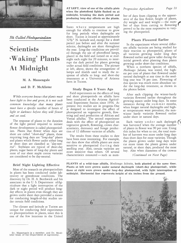

It's Called Photoperiodism

## **Scientists** 'Waking' Plants At Midnight

#### M. A. Massengale

#### and D. F. McAlister

While everyone knows that plants must have light to live and grow, it is not such common knowledge that many plants must have a specific number of hours of light or darkness before they will flower and set seed.

The response of plants to the duration of the light period required to initiate flower development is called photoperiodism. Plants that flower when days are short are called "s*hort-day*" plants, those <sub>The</sub> requiring long days are "long-day" plants and plants which flower under either  $\log \frac{\text{have}}{\text{one}}$ or short days are classified as "day-neutral". Soybeans are typical of short-day plants, sugar beets of long-day plants and most of our short staple cotton varieties are considered to be day-neutral.

#### Brief Night Lighting Effective

Most of the research on photoperiodism in plants has been conducted under laboratory or greenhouse conditions. The discovery by Dr. H. A. Borthwick and his associates in the U. S. Department ofAgriculture that a light interruption of the dark or night period will produce longday effects in plants even though they are grown under short days provided a means for conducting length-of-day studies under certain field conditions.

The climate and latitude at Tucson are unique for conducting field experiments on photoperiodism in plants, since this is one of the few locations in the United

AT LEFT, view of one of the alfalfa plots when the photoflood lights flashed on at midnight, breaking the dark period and producing long -day effects on the plants.

States where temperatures are high enough for alfalfa to continue to grow for long periods when daylengths are short. Tucson is located at approximately  $32\frac{1}{2}$ ° N. latitude and, except for a short period just before and after the summer solstice, daylengths are short throughout the year. Long-day conditions are provided through the use of photoflood lamps, placed in the field and turned on at midnight each night for 20 minutes, to interrupt the dark period for plants growing under actual field conditions. The picture at left, above, shows the arrangement of lamps and shields used to study the response of alfalfa to long- and short-day treatments at a University of Arizona farm in Tucson.

#### Study Began 6 Years Ago

Field experiments on the effects of long and short photoperiods on alfalfa have been conducted at the Arizona Agricultural Experiment Station since 1954. At present two studies are in progress. One is designed to investigate the effect of photoperiod on vegetative growth, flowering and seed production of African and Vernal alfalfas. The second experiment deals with the effect of photoperiod on vegetative growth, flowering, crown characteristics, dormancy and forage production of 12 different varieties of alfalfa.

The results from these studies to date have been most interesting. For example, our data show that alfalfa plants are most sensitive to photoperiod during their seedling year. Also, certain varieties are more sensitive than others. Of several characteristics measured - such as numProgressive Agriculture Page 10

ber of days from clipping to the appearance of the first flower, height of plants, dry weight and seed weight-the numance of the first flower, height of plants,<br>dry weight and seed weight — the num-<br>ber of days from cutting to flowering proved to be the most responsive to varying the photoperiod.

#### Plants Flowered Earlier

In the experiment where several different alfalfa varieties are being studied for their reaction to photoperiod, plants of all varieties growing under long days flowered earlier and grew taller during the initial growth after planting than plants growing under short -day conditions.

When a northern species of alfalfa, Medicago falcata, was tested, the highest per cent of plants that flowered under natural daylength at any time in the seedling year was 78 per cent. Flowering of this species was much more abundant under the long-day treatment, as shown in the photos below.

After each clipping the winter-hardy varieties flowered earlier throughout the growing season under long days. In some instances during the summer months, when longer natural daylengths and higher temperatures were prevalent, the nonwinter hardy varieties flowered earlier under short or natural days.

Each variety under each daylength was harvested when the average number of plants in flower was 90 per cent. Using this index for when to cut, the total number of harvests was more under long days than short days for most varieties. Though the plants grown under long days were cut more times the plants grown under natural, or short days, produced the most hay. Also when diameters of the crowns

(Continued on Next Page)

PLANTS of a wild-type alfalfa, Medicago falcata, both planted at the same time. Plants at left were grown under natural daylength (short-day photoperiod), while those at right were grown under long-day photoperiod, with light interruption at midnight. Horizontal line represents height of six inches from the ground.



Dr. Massengale is a member, and Dr. McAlister head, of the Department of Agronomy.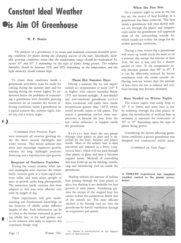## Constant Ideal Weather **Dis Aim Of Greenhouse**

#### W. P. Bemis

The purpose of a greenhouse is to create and maintain consistent desirable growing conditions for plants during the changing seasons of the year. Specifically, desirable growing conditions mean that the temperature range should be maintained between 50° and 95° F depending on the type of plants being grown. The relative humidity should be between 50% and 90% depending on the temperature, and the light intensity should remain high.

To create these conditions inside a greenhouse provisions must be made for cooling during the summer days and for heating during the winter nights. To understand better the problems of maintaining a greenhouse with desirable growing conditions let us consider the factors affecting conditions inside a greenhouse on a typical summer day, summer night, winter day and a winter night.

#### (Continued from Previous Page)

were measured, all varieties growing under the short, natural daylengths had wider crowns. This would indicate that short days encourage vegetative growth, whereas the long daylength promotes flowering and a reproductive-type growth.

#### Response of Northern Varieties

During the winter months, when natural daylengths were shortest, the winter hardy varieties grew at a more rapid rate, were taller, and were more upright or erect in growth under long photoperiods. The nonwinter hardy varieties that were adapted to this area were affected very little by length of day.

These experiments will give understanding and fundamental knowledge on the behavior of alfalfa under different lengths of day. Such information can be of value to the farmer interested in growing alfalfa hay, to the seed grower and to the scientist who seeks to improve this important forage crop.

#### Those Hot Summer Days

During a summer day we can expect outside air temperatures to reach 110° F or higher, with relative humidity below 15% and intense sunlight. A non-shaded and non-ventilated greenhouse under these conditions will easily have inside temperatures greater than 130°F, which would severely injure or kill plants. The reason a greenhouse reaches these temperatures is because the heat from the sun ( solar radiation) is trapped inside the greenhouse.

Radiant heat from the sun passes through clear plastic or glass and is absorbed by the floor, benches and plants inside. Most of the radiant heat is then converted and released in a form ( convection heat) which will not pass through clear plastic or glass, and thus it becomes trapped inside. Methods of controlling this heat build-up are by shading, ventilating and introducing cool air inside the greenhouse.

heat passing through the clear plastic or glass, but shading is not desirable for best growth of most plants. Ventilating permits the escape of the trapped heat but cannot reduce the temperature below that of the outside air. The most efficient method is by forcing cool air into the greenhouse by forced ventilation through an evaporative pad system.

 $W$ *inter* 1961 Dr. Bemis is horticulturist in the Depart-

#### When the Sun Sets

On a summer night as soon as the sun has set, the source of heat buildup in a greenhouse has been removed. The heat inside a greenhouse will then slowly radiate out through the plastic and temperatures inside the greenhouse will approach those of the surrounding outside air, which usually are within the range for desirable growing conditions.

During a clear winter day a greenhouse will warm up inside much the same as on a summer day, except the amount of heat from the sun is less, and for a shorter period of time. If the temperature inside becomes greater than 90° to 95° F it can be effectively reduced by forced ventilation with the cooler outside air. During overcast winter days the amount of heat from the sun is reduced and artificial heating may become necessary.

#### Heat Needed on Winter Nights

The winter nights may easily drop to 30° F or lower, and since heat is lost by radiating through the clear plastic or glass, the introduction of artificial heat is necessary to maintain the minimums of 50° to 70° depending upon the type of plants being grown.

Considering the factors affecting greenhouse conditions a plastic greenhouse was designed and constructed which main-

(Continued on Next Page)

Shading reduces the amount of radiant weather control in the plastic green-A TOMATO experiment has complete house.



Page 11